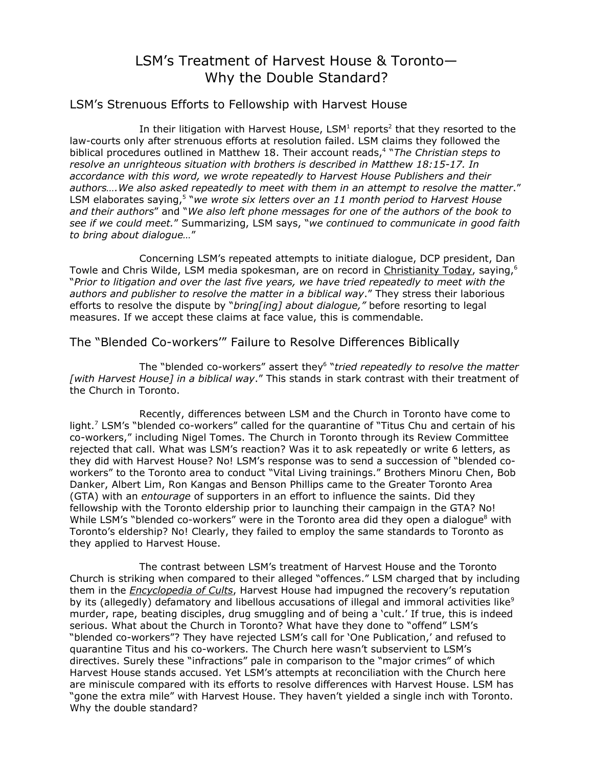# LSM's Treatment of Harvest House & Toronto— Why the Double Standard?

### LSM's Strenuous Efforts to Fellowship with Harvest House

In their litigation with Harvest House, LSM<sup>1</sup> reports<sup>2</sup> that they resorted to the law-courts only after strenuous efforts at resolution failed. LSM claims they followed the biblical procedures outlined in Matthew 18. Their account reads, 4 "*The Christian steps to resolve an unrighteous situation with brothers is described in Matthew 18:15-17. In accordance with this word, we wrote repeatedly to Harvest House Publishers and their authors….We also asked repeatedly to meet with them in an attempt to resolve the matter*." LSM elaborates saying, 5 "*we wrote six [letters](http://www.contendingforthefaith.com/libel-litigations/harvest-house-et-al/PublicDocs/index.html) over an 11 month period to Harvest House and their authors*" and "*We also left phone messages for one of the authors of the book to see if we could meet.*" Summarizing, LSM says, "*we continued to communicate in good faith to bring about dialogue…*"

Concerning LSM's repeated attempts to initiate dialogue, DCP president, Dan Towle and Chris Wilde, LSM media spokesman, are on record in Christianity Today, saying,<sup>6</sup> "*Prior to litigation and over the last five years, we have tried repeatedly to meet with the authors and publisher to resolve the matter in a biblical way*." They stress their laborious efforts to resolve the dispute by "*bring[ing] about dialogue,"* before resorting to legal measures. If we accept these claims at face value, this is commendable.

The "Blended Co-workers'" Failure to Resolve Differences Biblically

The "blended co-workers" assert they 6 "*tried repeatedly to resolve the matter [with Harvest House] in a biblical way*." This stands in stark contrast with their treatment of the Church in Toronto.

Recently, differences between LSM and the Church in Toronto have come to light.<sup>7</sup> LSM's "blended co-workers" called for the quarantine of "Titus Chu and certain of his co-workers," including Nigel Tomes. The Church in Toronto through its Review Committee rejected that call. What was LSM's reaction? Was it to ask repeatedly or write 6 letters, as they did with Harvest House? No! LSM's response was to send a succession of "blended coworkers" to the Toronto area to conduct "Vital Living trainings." Brothers Minoru Chen, Bob Danker, Albert Lim, Ron Kangas and Benson Phillips came to the Greater Toronto Area (GTA) with an *entourage* of supporters in an effort to influence the saints. Did they fellowship with the Toronto eldership prior to launching their campaign in the GTA? No! While LSM's "blended co-workers" were in the Toronto area did they open a dialogue<sup>8</sup> with Toronto's eldership? No! Clearly, they failed to employ the same standards to Toronto as they applied to Harvest House.

The contrast between LSM's treatment of Harvest House and the Toronto Church is striking when compared to their alleged "offences." LSM charged that by including them in the *Encyclopedia of Cults*, Harvest House had impugned the recovery's reputation by its (allegedly) defamatory and libellous accusations of illegal and immoral activities like<sup>9</sup> murder, rape, beating disciples, drug smuggling and of being a 'cult.' If true, this is indeed serious. What about the Church in Toronto? What have they done to "offend" LSM's "blended co-workers"? They have rejected LSM's call for 'One Publication,' and refused to quarantine Titus and his co-workers. The Church here wasn't subservient to LSM's directives. Surely these "infractions" pale in comparison to the "major crimes" of which Harvest House stands accused. Yet LSM's attempts at reconciliation with the Church here are miniscule compared with its efforts to resolve differences with Harvest House. LSM has "gone the extra mile" with Harvest House. They haven't yielded a single inch with Toronto. Why the double standard?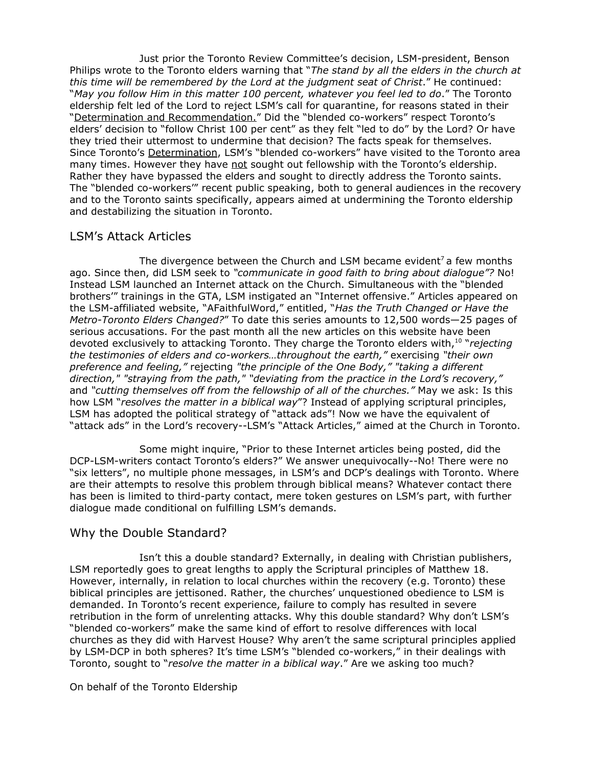Just prior the Toronto Review Committee's decision, LSM-president, Benson Philips wrote to the Toronto elders warning that "*The stand by all the elders in the church at this time will be remembered by the Lord at the judgment seat of Christ*." He continued: "*May you follow Him in this matter 100 percent, whatever you feel led to do*." The Toronto eldership felt led of the Lord to reject LSM's call for quarantine, for reasons stated in their "Determination and Recommendation." Did the "blended co-workers" respect Toronto's elders' decision to "follow Christ 100 per cent" as they felt "led to do" by the Lord? Or have they tried their uttermost to undermine that decision? The facts speak for themselves. Since Toronto's Determination, LSM's "blended co-workers" have visited to the Toronto area many times. However they have not sought out fellowship with the Toronto's eldership. Rather they have bypassed the elders and sought to directly address the Toronto saints. The "blended co-workers'" recent public speaking, both to general audiences in the recovery and to the Toronto saints specifically, appears aimed at undermining the Toronto eldership and destabilizing the situation in Toronto.

### LSM's Attack Articles

The divergence between the Church and LSM became evident<sup>7</sup> a few months ago. Since then, did LSM seek to *"communicate in good faith to bring about dialogue"?* No! Instead LSM launched an Internet attack on the Church. Simultaneous with the "blended brothers'" trainings in the GTA, LSM instigated an "Internet offensive." Articles appeared on the LSM-affiliated website, "AFaithfulWord," entitled, "*Has the Truth Changed or Have the Metro-Toronto Elders Changed?*" To date this series amounts to 12,500 words—25 pages of serious accusations. For the past month all the new articles on this website have been devoted exclusively to attacking Toronto. They charge the Toronto elders with, 10 "*rejecting the testimonies of elders and co-workers…throughout the earth,"* exercising *"their own preference and feeling,"* rejecting *"the principle of the One Body," "taking a different direction," "straying from the path," "deviating from the practice in the Lord's recovery,"* and *"cutting themselves off from the fellowship of all of the churches."* May we ask: Is this how LSM "*resolves the matter in a biblical way*"? Instead of applying scriptural principles, LSM has adopted the political strategy of "attack ads"! Now we have the equivalent of "attack ads" in the Lord's recovery--LSM's "Attack Articles," aimed at the Church in Toronto.

Some might inquire, "Prior to these Internet articles being posted, did the DCP-LSM-writers contact Toronto's elders?" We answer unequivocally--No! There were no "six letters", no multiple phone messages, in LSM's and DCP's dealings with Toronto. Where are their attempts to resolve this problem through biblical means? Whatever contact there has been is limited to third-party contact, mere token gestures on LSM's part, with further dialogue made conditional on fulfilling LSM's demands.

## Why the Double Standard?

Isn't this a double standard? Externally, in dealing with Christian publishers, LSM reportedly goes to great lengths to apply the Scriptural principles of Matthew 18. However, internally, in relation to local churches within the recovery (e.g. Toronto) these biblical principles are jettisoned. Rather, the churches' unquestioned obedience to LSM is demanded. In Toronto's recent experience, failure to comply has resulted in severe retribution in the form of unrelenting attacks. Why this double standard? Why don't LSM's "blended co-workers" make the same kind of effort to resolve differences with local churches as they did with Harvest House? Why aren't the same scriptural principles applied by LSM-DCP in both spheres? It's time LSM's "blended co-workers," in their dealings with Toronto, sought to "*resolve the matter in a biblical way*." Are we asking too much?

#### On behalf of the Toronto Eldership